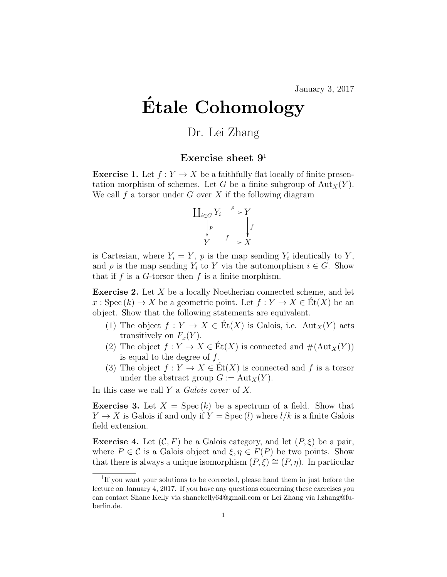January 3, 2017

## Etale Cohomology ´

## Dr. Lei Zhang

## Exercise sheet  $9<sup>1</sup>$

**Exercise 1.** Let  $f: Y \to X$  be a faithfully flat locally of finite presentation morphism of schemes. Let G be a finite subgroup of  ${\rm Aut}_X(Y)$ . We call f a torsor under G over X if the following diagram



is Cartesian, where  $Y_i = Y$ , p is the map sending  $Y_i$  identically to Y, and  $\rho$  is the map sending  $Y_i$  to Y via the automorphism  $i \in G$ . Show that if f is a G-torsor then f is a finite morphism.

**Exercise 2.** Let  $X$  be a locally Noetherian connected scheme, and let  $x : \mathrm{Spec}(k) \to X$  be a geometric point. Let  $f : Y \to X \in \mathrm{Et}(X)$  be an object. Show that the following statements are equivalent.

- (1) The object  $f: Y \to X \in \text{Ét}(X)$  is Galois, i.e.  $\text{Aut}_X(Y)$  acts transitively on  $F_x(Y)$ .
- (2) The object  $f: Y \to X \in \text{Et}(X)$  is connected and  $\#(\text{Aut}_X(Y))$ is equal to the degree of  $f$ .
- (3) The object  $f: Y \to X \in \text{Et}(X)$  is connected and f is a torsor under the abstract group  $G := Aut_X(Y)$ .

In this case we call  $Y$  a Galois cover of  $X$ .

**Exercise 3.** Let  $X = \text{Spec}(k)$  be a spectrum of a field. Show that  $Y \to X$  is Galois if and only if  $Y = \text{Spec}(l)$  where  $l/k$  is a finite Galois field extension.

**Exercise 4.** Let  $(C, F)$  be a Galois category, and let  $(P, \xi)$  be a pair, where  $P \in \mathcal{C}$  is a Galois object and  $\xi, \eta \in F(P)$  be two points. Show that there is always a unique isomorphism  $(P, \xi) \cong (P, \eta)$ . In particular

<sup>&</sup>lt;sup>1</sup>If you want your solutions to be corrected, please hand them in just before the lecture on January 4, 2017. If you have any questions concerning these exercises you can contact Shane Kelly via shanekelly64@gmail.com or Lei Zhang via l.zhang@fuberlin.de.